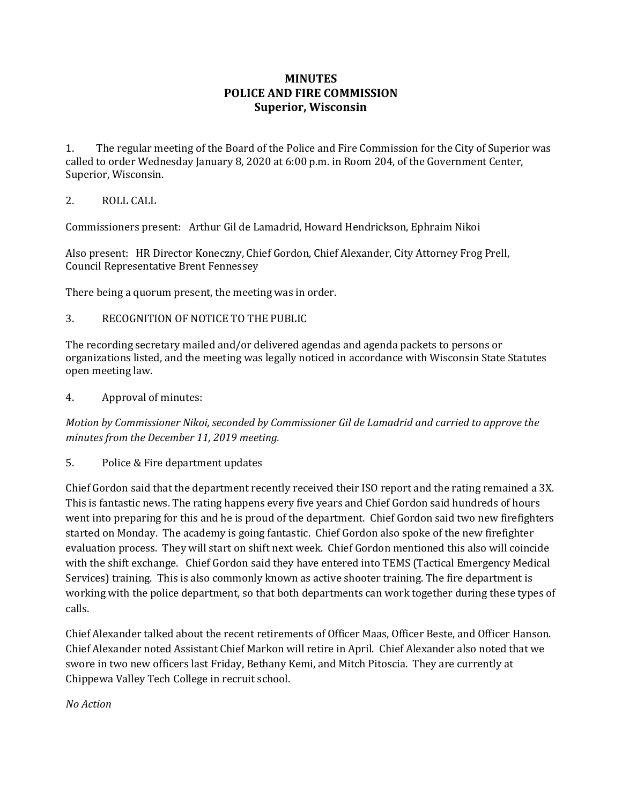## **MINUTES POLICE AND FIRE COMMISSION Superior, Wisconsin**

1. The regular meeting of the Board of the Police and Fire Commission for the City of Superior was called to order Wednesday January 8, 2020 at 6:00 p.m. in Room 204, of the Government Center, Superior, Wisconsin.

## 2. ROLL CALL

Commissioners present: Arthur Gil de Lamadrid, Howard Hendrickson, Ephraim Nikoi

Also present: HR Director Koneczny, Chief Gordon, Chief Alexander, City Attorney Frog Prell, Council Representative Brent Fennessey

There being a quorum present, the meeting was in order.

3. RECOGNITION OF NOTICE TO THE PUBLIC

The recording secretary mailed and/or delivered agendas and agenda packets to persons or organizations listed, and the meeting was legally noticed in accordance with Wisconsin State Statutes open meeting law.

4. Approval of minutes:

*Motion by Commissioner Nikoi, seconded by Commissioner Gil de Lamadrid and carried to approve the minutes from the December 11, 2019 meeting.* 

5. Police & Fire department updates

Chief Gordon said that the department recently received their ISO report and the rating remained a 3X. This is fantastic news. The rating happens every five years and Chief Gordon said hundreds of hours went into preparing for this and he is proud of the department. Chief Gordon said two new firefighters started on Monday. The academy is going fantastic. Chief Gordon also spoke of the new firefighter evaluation process. They will start on shift next week. Chief Gordon mentioned this also will coincide with the shift exchange. Chief Gordon said they have entered into TEMS (Tactical Emergency Medical Services) training. This is also commonly known as active shooter training. The fire department is working with the police department, so that both departments can work together during these types of calls.

Chief Alexander talked about the recent retirements of Officer Maas, Officer Beste, and Officer Hanson. Chief Alexander noted Assistant Chief Markon will retire in April. Chief Alexander also noted that we swore in two new officers last Friday, Bethany Kemi, and Mitch Pitoscia. They are currently at Chippewa Valley Tech College in recruit school.

## *No Action*